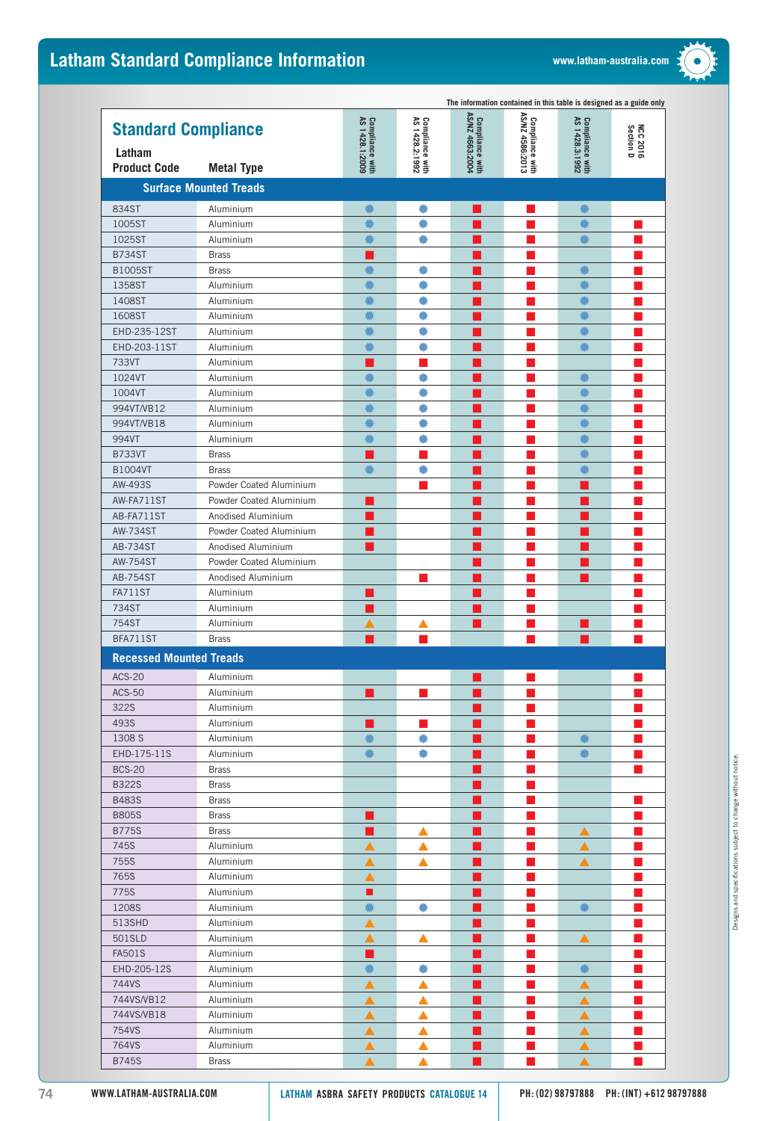## Latham Standard Compliance Information **Mateur Compliance Information Exercise Complete Accompliance** WWW.latham-australia.com



|                                |                               |                                   |                                   |                                   |                                    | The information contained in this table is designed as a guide only |                       |
|--------------------------------|-------------------------------|-----------------------------------|-----------------------------------|-----------------------------------|------------------------------------|---------------------------------------------------------------------|-----------------------|
| <b>Standard Compliance</b>     |                               | Compliance with<br>AS 1428.1:2009 | Compliance with<br>AS 1428.2:1992 | Compliance with<br>ASMZ 4663:2004 | Compliance with<br>AS/NZ 4586:2013 | Compliance with<br>AS 1428.3:1992                                   |                       |
|                                |                               |                                   |                                   |                                   |                                    |                                                                     | NCC 2016<br>Section D |
| Latham                         |                               |                                   |                                   |                                   |                                    |                                                                     |                       |
| <b>Product Code</b>            | <b>Metal Type</b>             |                                   |                                   |                                   |                                    |                                                                     |                       |
|                                | <b>Surface Mounted Treads</b> |                                   |                                   |                                   |                                    |                                                                     |                       |
| 834ST                          | Aluminium                     | ₩                                 | ۰                                 |                                   |                                    |                                                                     |                       |
| 1005ST                         | Aluminium                     |                                   | ۰                                 |                                   |                                    |                                                                     |                       |
| 1025ST                         | Aluminium                     |                                   |                                   |                                   |                                    |                                                                     |                       |
| <b>B734ST</b>                  | <b>Brass</b>                  |                                   |                                   |                                   |                                    |                                                                     |                       |
| <b>B1005ST</b>                 | <b>Brass</b>                  |                                   | ۰                                 |                                   |                                    | ۰                                                                   |                       |
| 1358ST                         | Aluminium                     |                                   |                                   |                                   |                                    |                                                                     |                       |
| 1408ST                         | Aluminium                     |                                   |                                   |                                   |                                    |                                                                     |                       |
| 1608ST                         | Aluminium                     |                                   |                                   |                                   |                                    |                                                                     |                       |
| EHD-235-12ST                   | Aluminium                     |                                   |                                   |                                   |                                    |                                                                     |                       |
| EHD-203-11ST                   | Aluminium                     |                                   |                                   |                                   |                                    |                                                                     |                       |
| 733VT                          | Aluminium                     |                                   |                                   |                                   |                                    |                                                                     |                       |
| 1024VT                         | Aluminium                     |                                   | ۰                                 |                                   |                                    |                                                                     |                       |
| 1004VT                         | Aluminium                     |                                   |                                   |                                   |                                    | 譱                                                                   |                       |
| 994VT/VB12                     | Aluminium                     |                                   |                                   |                                   |                                    |                                                                     |                       |
| 994VT/VB18                     | Aluminium                     |                                   |                                   |                                   |                                    |                                                                     |                       |
| 994VT                          | Aluminium                     |                                   |                                   |                                   |                                    |                                                                     |                       |
| <b>B733VT</b>                  | <b>Brass</b>                  |                                   |                                   |                                   |                                    |                                                                     |                       |
| <b>B1004VT</b>                 | <b>Brass</b>                  |                                   |                                   |                                   |                                    |                                                                     |                       |
| AW-493S                        | Powder Coated Aluminium       |                                   |                                   |                                   |                                    |                                                                     |                       |
| AW-FA711ST                     | Powder Coated Aluminium       |                                   |                                   |                                   |                                    |                                                                     |                       |
| AB-FA711ST                     | Anodised Aluminium            |                                   |                                   |                                   |                                    |                                                                     |                       |
| <b>AW-734ST</b>                | Powder Coated Aluminium       |                                   |                                   |                                   |                                    |                                                                     |                       |
| <b>AB-734ST</b>                | Anodised Aluminium            |                                   |                                   |                                   |                                    |                                                                     |                       |
| <b>AW-754ST</b>                | Powder Coated Aluminium       |                                   |                                   |                                   |                                    |                                                                     |                       |
| AB-754ST                       | Anodised Aluminium            |                                   |                                   |                                   |                                    |                                                                     |                       |
| <b>FA711ST</b>                 | Aluminium                     |                                   |                                   |                                   |                                    |                                                                     |                       |
| 734ST                          | Aluminium                     |                                   |                                   |                                   |                                    |                                                                     |                       |
| 754ST                          | Aluminium                     |                                   |                                   |                                   |                                    |                                                                     |                       |
| BFA711ST                       | <b>Brass</b>                  |                                   |                                   |                                   |                                    |                                                                     |                       |
| <b>Recessed Mounted Treads</b> |                               |                                   |                                   |                                   |                                    |                                                                     |                       |
| <b>ACS-20</b>                  | Aluminium                     |                                   |                                   |                                   |                                    |                                                                     |                       |
| <b>ACS-50</b>                  | Aluminium                     |                                   |                                   |                                   |                                    |                                                                     |                       |
| 322S                           | Aluminium                     |                                   |                                   |                                   |                                    |                                                                     |                       |
| 493S                           | Aluminium                     |                                   |                                   |                                   |                                    |                                                                     |                       |
| 1308 S                         | Aluminium                     |                                   |                                   |                                   |                                    |                                                                     |                       |
| EHD-175-11S                    | Aluminium                     |                                   |                                   |                                   |                                    | ۰                                                                   |                       |
| <b>BCS-20</b>                  | <b>Brass</b>                  |                                   |                                   |                                   |                                    |                                                                     |                       |
| <b>B322S</b>                   | <b>Brass</b>                  |                                   |                                   |                                   |                                    |                                                                     |                       |
| <b>B483S</b>                   | <b>Brass</b>                  |                                   |                                   |                                   |                                    |                                                                     |                       |
| <b>B805S</b>                   | <b>Brass</b>                  |                                   |                                   |                                   |                                    |                                                                     |                       |
| <b>B775S</b>                   | <b>Brass</b>                  |                                   | ▲                                 |                                   |                                    | ▲                                                                   |                       |
| 745S                           | Aluminium                     |                                   | ▲                                 |                                   |                                    | ▲                                                                   |                       |
| 755S                           | Aluminium                     | ▲                                 | ▲                                 |                                   |                                    | ▲                                                                   |                       |
| 765S                           | Aluminium                     | ▲                                 |                                   |                                   |                                    |                                                                     |                       |
| 775S                           | Aluminium                     | ■                                 |                                   |                                   |                                    |                                                                     |                       |
| 1208S                          | Aluminium                     |                                   | ۰                                 |                                   |                                    | ☀                                                                   |                       |
| 513SHD                         | Aluminium                     | ▲                                 |                                   |                                   |                                    |                                                                     |                       |
| 501SLD                         | Aluminium                     | ▲                                 | ▲                                 |                                   |                                    | ▲                                                                   |                       |
| <b>FA501S</b>                  | Aluminium                     |                                   |                                   |                                   |                                    |                                                                     |                       |
| EHD-205-12S                    | Aluminium                     |                                   | ۰                                 |                                   |                                    | ₩                                                                   |                       |
| 744VS                          | Aluminium                     | ▲                                 | ▲                                 |                                   |                                    | ▲                                                                   |                       |
| 744VS/VB12                     | Aluminium                     | ▲                                 | ▲                                 |                                   |                                    | ▲                                                                   |                       |
| 744VS/VB18                     | Aluminium                     | ▲                                 |                                   |                                   |                                    |                                                                     |                       |
| 754VS                          | Aluminium                     |                                   |                                   |                                   |                                    |                                                                     |                       |
| 764VS                          | Aluminium                     |                                   |                                   |                                   |                                    |                                                                     |                       |
| <b>B745S</b>                   | <b>Brass</b>                  |                                   |                                   |                                   |                                    |                                                                     |                       |